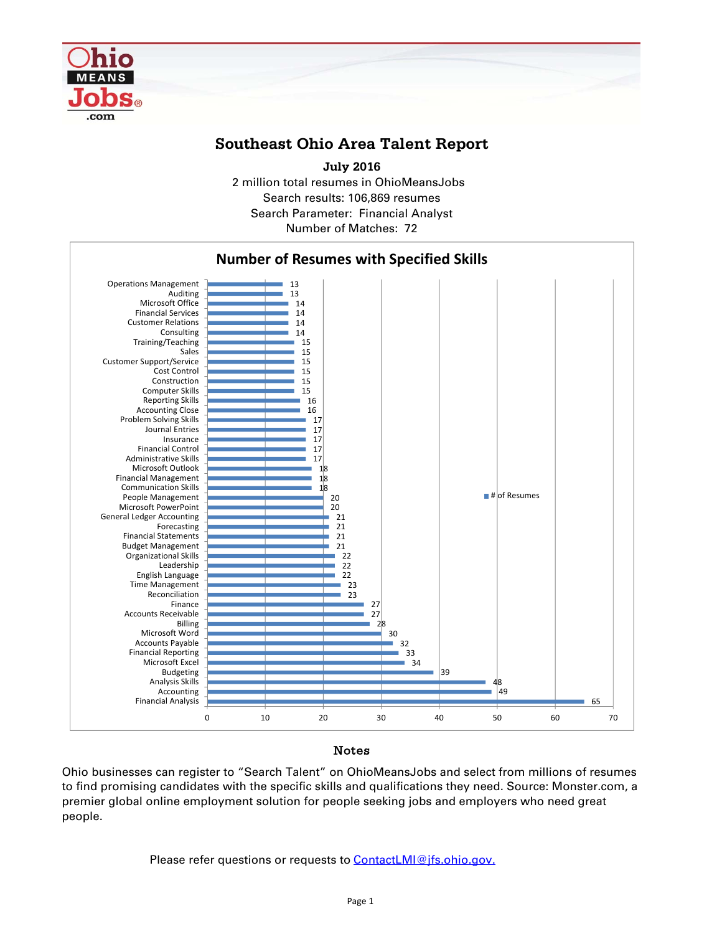

## **Southeast Ohio Area Talent Report**

2 million total resumes in OhioMeansJobs Search results: 106,869 resumes Number of Matches: 72 **July 2016** Search Parameter: Financial Analyst



## Notes

Ohio businesses can register to "Search Talent" on OhioMeansJobs and select from millions of resumes to find promising candidates with the specific skills and qualifications they need. Source: Monster.com, a premier global online employment solution for people seeking jobs and employers who need great people.

Please refer questions or requests to **ContactLMI@jfs.ohio.gov.**